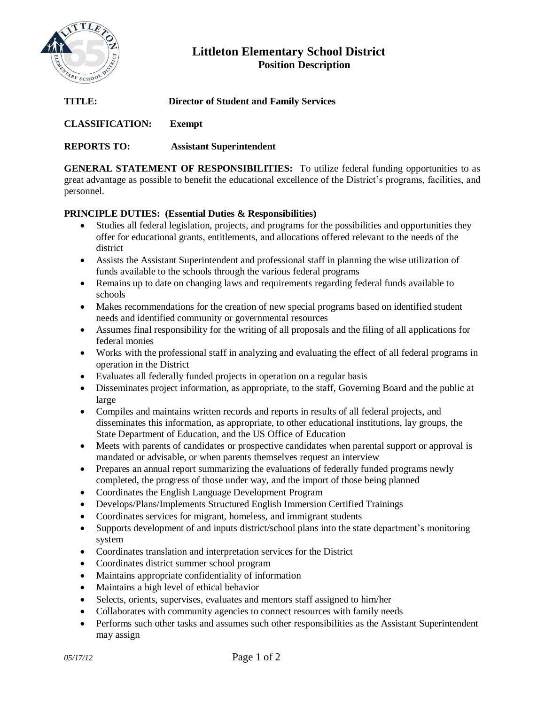

# **Littleton Elementary School District Position Description**

| TITLE:                 | <b>Director of Student and Family Services</b> |
|------------------------|------------------------------------------------|
| <b>CLASSIFICATION:</b> | Exempt                                         |
| <b>REPORTS TO:</b>     | <b>Assistant Superintendent</b>                |

**GENERAL STATEMENT OF RESPONSIBILITIES:** To utilize federal funding opportunities to as great advantage as possible to benefit the educational excellence of the District's programs, facilities, and personnel.

## **PRINCIPLE DUTIES: (Essential Duties & Responsibilities)**

- Studies all federal legislation, projects, and programs for the possibilities and opportunities they offer for educational grants, entitlements, and allocations offered relevant to the needs of the district
- Assists the Assistant Superintendent and professional staff in planning the wise utilization of funds available to the schools through the various federal programs
- Remains up to date on changing laws and requirements regarding federal funds available to schools
- Makes recommendations for the creation of new special programs based on identified student needs and identified community or governmental resources
- Assumes final responsibility for the writing of all proposals and the filing of all applications for federal monies
- Works with the professional staff in analyzing and evaluating the effect of all federal programs in operation in the District
- Evaluates all federally funded projects in operation on a regular basis
- Disseminates project information, as appropriate, to the staff, Governing Board and the public at large
- Compiles and maintains written records and reports in results of all federal projects, and disseminates this information, as appropriate, to other educational institutions, lay groups, the State Department of Education, and the US Office of Education
- Meets with parents of candidates or prospective candidates when parental support or approval is mandated or advisable, or when parents themselves request an interview
- Prepares an annual report summarizing the evaluations of federally funded programs newly completed, the progress of those under way, and the import of those being planned
- Coordinates the English Language Development Program
- Develops/Plans/Implements Structured English Immersion Certified Trainings
- Coordinates services for migrant, homeless, and immigrant students
- Supports development of and inputs district/school plans into the state department's monitoring system
- Coordinates translation and interpretation services for the District
- Coordinates district summer school program
- Maintains appropriate confidentiality of information
- Maintains a high level of ethical behavior
- Selects, orients, supervises, evaluates and mentors staff assigned to him/her
- Collaborates with community agencies to connect resources with family needs
- Performs such other tasks and assumes such other responsibilities as the Assistant Superintendent may assign